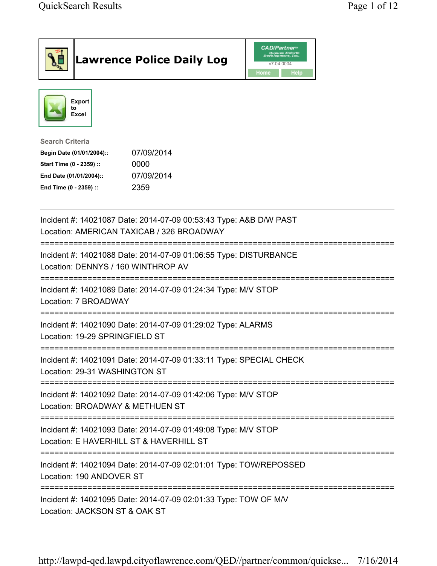|                                                                                                                                      | <b>Lawrence Police Daily Log</b>                                   | <b>CAD/Partner</b><br>Queues Enforth<br>Development, Inc.<br>v7.04.0004<br>Home<br>Help |  |
|--------------------------------------------------------------------------------------------------------------------------------------|--------------------------------------------------------------------|-----------------------------------------------------------------------------------------|--|
| <b>Export</b><br>to<br><b>Excel</b>                                                                                                  |                                                                    |                                                                                         |  |
| <b>Search Criteria</b><br>Begin Date (01/01/2004)::<br>Start Time (0 - 2359) ::<br>End Date (01/01/2004)::<br>End Time (0 - 2359) :: | 07/09/2014<br>0000<br>07/09/2014<br>2359                           |                                                                                         |  |
| Location: AMERICAN TAXICAB / 326 BROADWAY                                                                                            | Incident #: 14021087 Date: 2014-07-09 00:53:43 Type: A&B D/W PAST  |                                                                                         |  |
| Location: DENNYS / 160 WINTHROP AV                                                                                                   | Incident #: 14021088 Date: 2014-07-09 01:06:55 Type: DISTURBANCE   |                                                                                         |  |
| Location: 7 BROADWAY                                                                                                                 | Incident #: 14021089 Date: 2014-07-09 01:24:34 Type: M/V STOP      |                                                                                         |  |
| Location: 19-29 SPRINGFIELD ST                                                                                                       | Incident #: 14021090 Date: 2014-07-09 01:29:02 Type: ALARMS        |                                                                                         |  |
| Location: 29-31 WASHINGTON ST                                                                                                        | Incident #: 14021091 Date: 2014-07-09 01:33:11 Type: SPECIAL CHECK |                                                                                         |  |
| Location: BROADWAY & METHUEN ST                                                                                                      | Incident #: 14021092 Date: 2014-07-09 01:42:06 Type: M/V STOP      |                                                                                         |  |
| Location: E HAVERHILL ST & HAVERHILL ST                                                                                              | Incident #: 14021093 Date: 2014-07-09 01:49:08 Type: M/V STOP      |                                                                                         |  |
| Location: 190 ANDOVER ST                                                                                                             | Incident #: 14021094 Date: 2014-07-09 02:01:01 Type: TOW/REPOSSED  |                                                                                         |  |
| Location: JACKSON ST & OAK ST                                                                                                        | Incident #: 14021095 Date: 2014-07-09 02:01:33 Type: TOW OF M/V    |                                                                                         |  |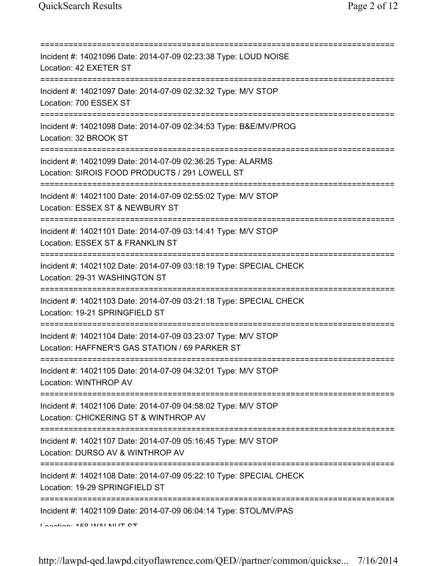| =========================                                                                                                                       |
|-------------------------------------------------------------------------------------------------------------------------------------------------|
| Incident #: 14021096 Date: 2014-07-09 02:23:38 Type: LOUD NOISE<br>Location: 42 EXETER ST                                                       |
| Incident #: 14021097 Date: 2014-07-09 02:32:32 Type: M/V STOP<br>Location: 700 ESSEX ST                                                         |
| Incident #: 14021098 Date: 2014-07-09 02:34:53 Type: B&E/MV/PROG<br>Location: 32 BROOK ST                                                       |
| Incident #: 14021099 Date: 2014-07-09 02:36:25 Type: ALARMS<br>Location: SIROIS FOOD PRODUCTS / 291 LOWELL ST                                   |
| Incident #: 14021100 Date: 2014-07-09 02:55:02 Type: M/V STOP<br>Location: ESSEX ST & NEWBURY ST<br>===============================             |
| Incident #: 14021101 Date: 2014-07-09 03:14:41 Type: M/V STOP<br>Location: ESSEX ST & FRANKLIN ST                                               |
| Incident #: 14021102 Date: 2014-07-09 03:18:19 Type: SPECIAL CHECK<br>Location: 29-31 WASHINGTON ST                                             |
| Incident #: 14021103 Date: 2014-07-09 03:21:18 Type: SPECIAL CHECK<br>Location: 19-21 SPRINGFIELD ST                                            |
| Incident #: 14021104 Date: 2014-07-09 03:23:07 Type: M/V STOP<br>Location: HAFFNER'S GAS STATION / 69 PARKER ST                                 |
| Incident #: 14021105 Date: 2014-07-09 04:32:01 Type: M/V STOP<br>Location: WINTHROP AV                                                          |
| ;====================================<br>Incident #: 14021106 Date: 2014-07-09 04:58:02 Type: M/V STOP<br>Location: CHICKERING ST & WINTHROP AV |
| Incident #: 14021107 Date: 2014-07-09 05:16:45 Type: M/V STOP<br>Location: DURSO AV & WINTHROP AV                                               |
| Incident #: 14021108 Date: 2014-07-09 05:22:10 Type: SPECIAL CHECK<br>Location: 19-29 SPRINGFIELD ST                                            |
| Incident #: 14021109 Date: 2014-07-09 06:04:14 Type: STOL/MV/PAS<br>Location: 450 M/ALAILIT CT                                                  |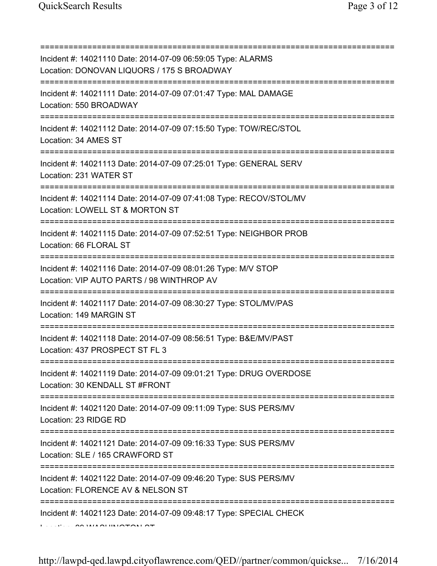| Incident #: 14021110 Date: 2014-07-09 06:59:05 Type: ALARMS<br>Location: DONOVAN LIQUORS / 175 S BROADWAY<br>;=================================== |
|---------------------------------------------------------------------------------------------------------------------------------------------------|
| Incident #: 14021111 Date: 2014-07-09 07:01:47 Type: MAL DAMAGE<br>Location: 550 BROADWAY                                                         |
| Incident #: 14021112 Date: 2014-07-09 07:15:50 Type: TOW/REC/STOL<br>Location: 34 AMES ST                                                         |
| Incident #: 14021113 Date: 2014-07-09 07:25:01 Type: GENERAL SERV<br>Location: 231 WATER ST                                                       |
| Incident #: 14021114 Date: 2014-07-09 07:41:08 Type: RECOV/STOL/MV<br>Location: LOWELL ST & MORTON ST                                             |
| Incident #: 14021115 Date: 2014-07-09 07:52:51 Type: NEIGHBOR PROB<br>Location: 66 FLORAL ST                                                      |
| Incident #: 14021116 Date: 2014-07-09 08:01:26 Type: M/V STOP<br>Location: VIP AUTO PARTS / 98 WINTHROP AV                                        |
| Incident #: 14021117 Date: 2014-07-09 08:30:27 Type: STOL/MV/PAS<br>Location: 149 MARGIN ST                                                       |
| Incident #: 14021118 Date: 2014-07-09 08:56:51 Type: B&E/MV/PAST<br>Location: 437 PROSPECT ST FL 3                                                |
| Incident #: 14021119 Date: 2014-07-09 09:01:21 Type: DRUG OVERDOSE<br>Location: 30 KENDALL ST #FRONT                                              |
| Incident #: 14021120 Date: 2014-07-09 09:11:09 Type: SUS PERS/MV<br>Location: 23 RIDGE RD                                                         |
| Incident #: 14021121 Date: 2014-07-09 09:16:33 Type: SUS PERS/MV<br>Location: SLE / 165 CRAWFORD ST                                               |
| Incident #: 14021122 Date: 2014-07-09 09:46:20 Type: SUS PERS/MV<br>Location: FLORENCE AV & NELSON ST                                             |
| Incident #: 14021123 Date: 2014-07-09 09:48:17 Type: SPECIAL CHECK                                                                                |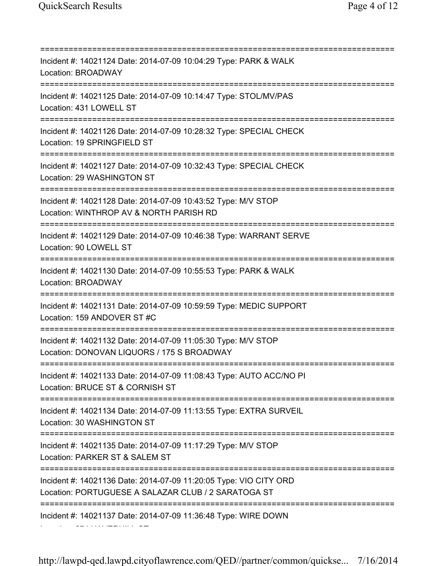Location: 274 HAVERHILL ST

=========================================================================== Incident #: 14021124 Date: 2014-07-09 10:04:29 Type: PARK & WALK Location: BROADWAY =========================================================================== Incident #: 14021125 Date: 2014-07-09 10:14:47 Type: STOL/MV/PAS Location: 431 LOWELL ST =========================================================================== Incident #: 14021126 Date: 2014-07-09 10:28:32 Type: SPECIAL CHECK Location: 19 SPRINGFIELD ST =========================================================================== Incident #: 14021127 Date: 2014-07-09 10:32:43 Type: SPECIAL CHECK Location: 29 WASHINGTON ST =========================================================================== Incident #: 14021128 Date: 2014-07-09 10:43:52 Type: M/V STOP Location: WINTHROP AV & NORTH PARISH RD =========================================================================== Incident #: 14021129 Date: 2014-07-09 10:46:38 Type: WARRANT SERVE Location: 90 LOWELL ST =========================================================================== Incident #: 14021130 Date: 2014-07-09 10:55:53 Type: PARK & WALK Location: BROADWAY =========================================================================== Incident #: 14021131 Date: 2014-07-09 10:59:59 Type: MEDIC SUPPORT Location: 159 ANDOVER ST #C =========================================================================== Incident #: 14021132 Date: 2014-07-09 11:05:30 Type: M/V STOP Location: DONOVAN LIQUORS / 175 S BROADWAY =========================================================================== Incident #: 14021133 Date: 2014-07-09 11:08:43 Type: AUTO ACC/NO PI Location: BRUCE ST & CORNISH ST =========================================================================== Incident #: 14021134 Date: 2014-07-09 11:13:55 Type: EXTRA SURVEIL Location: 30 WASHINGTON ST =========================================================================== Incident #: 14021135 Date: 2014-07-09 11:17:29 Type: M/V STOP Location: PARKER ST & SALEM ST =========================================================================== Incident #: 14021136 Date: 2014-07-09 11:20:05 Type: VIO CITY ORD Location: PORTUGUESE A SALAZAR CLUB / 2 SARATOGA ST =========================================================================== Incident #: 14021137 Date: 2014-07-09 11:36:48 Type: WIRE DOWN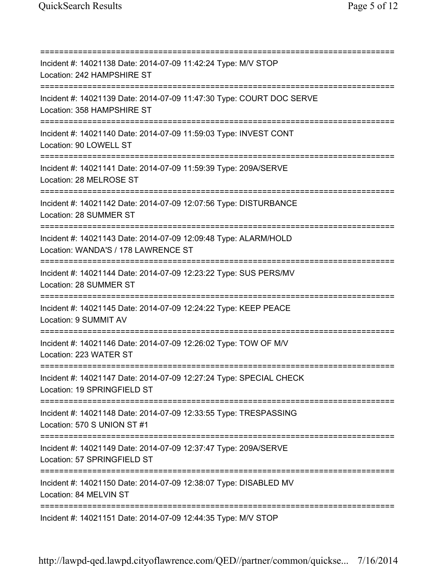=========================================================================== Incident #: 14021138 Date: 2014-07-09 11:42:24 Type: M/V STOP Location: 242 HAMPSHIRE ST =========================================================================== Incident #: 14021139 Date: 2014-07-09 11:47:30 Type: COURT DOC SERVE Location: 358 HAMPSHIRE ST =========================================================================== Incident #: 14021140 Date: 2014-07-09 11:59:03 Type: INVEST CONT Location: 90 LOWELL ST =========================================================================== Incident #: 14021141 Date: 2014-07-09 11:59:39 Type: 209A/SERVE Location: 28 MELROSE ST =========================================================================== Incident #: 14021142 Date: 2014-07-09 12:07:56 Type: DISTURBANCE Location: 28 SUMMER ST =========================================================================== Incident #: 14021143 Date: 2014-07-09 12:09:48 Type: ALARM/HOLD Location: WANDA'S / 178 LAWRENCE ST =========================================================================== Incident #: 14021144 Date: 2014-07-09 12:23:22 Type: SUS PERS/MV Location: 28 SUMMER ST =========================================================================== Incident #: 14021145 Date: 2014-07-09 12:24:22 Type: KEEP PEACE Location: 9 SUMMIT AV =========================================================================== Incident #: 14021146 Date: 2014-07-09 12:26:02 Type: TOW OF M/V Location: 223 WATER ST =========================================================================== Incident #: 14021147 Date: 2014-07-09 12:27:24 Type: SPECIAL CHECK Location: 19 SPRINGFIELD ST =========================================================================== Incident #: 14021148 Date: 2014-07-09 12:33:55 Type: TRESPASSING Location: 570 S UNION ST #1 =========================================================================== Incident #: 14021149 Date: 2014-07-09 12:37:47 Type: 209A/SERVE Location: 57 SPRINGFIELD ST =========================================================================== Incident #: 14021150 Date: 2014-07-09 12:38:07 Type: DISABLED MV Location: 84 MELVIN ST =========================================================================== Incident #: 14021151 Date: 2014-07-09 12:44:35 Type: M/V STOP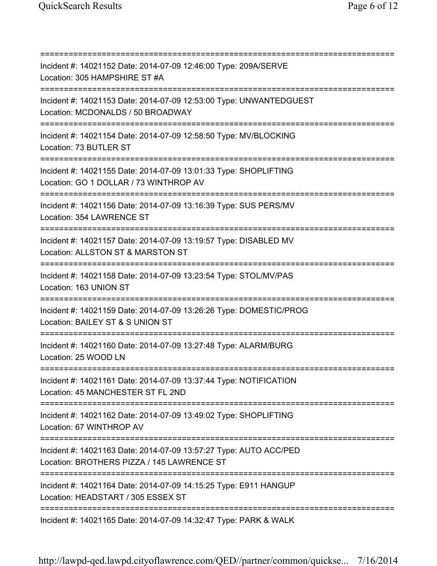=========================================================================== Incident #: 14021152 Date: 2014-07-09 12:46:00 Type: 209A/SERVE Location: 305 HAMPSHIRE ST #A =========================================================================== Incident #: 14021153 Date: 2014-07-09 12:53:00 Type: UNWANTEDGUEST Location: MCDONALDS / 50 BROADWAY =========================================================================== Incident #: 14021154 Date: 2014-07-09 12:58:50 Type: MV/BLOCKING Location: 73 BUTLER ST =========================================================================== Incident #: 14021155 Date: 2014-07-09 13:01:33 Type: SHOPLIFTING Location: GO 1 DOLLAR / 73 WINTHROP AV =========================================================================== Incident #: 14021156 Date: 2014-07-09 13:16:39 Type: SUS PERS/MV Location: 354 LAWRENCE ST =========================================================================== Incident #: 14021157 Date: 2014-07-09 13:19:57 Type: DISABLED MV Location: ALLSTON ST & MARSTON ST =========================================================================== Incident #: 14021158 Date: 2014-07-09 13:23:54 Type: STOL/MV/PAS Location: 163 UNION ST =========================================================================== Incident #: 14021159 Date: 2014-07-09 13:26:26 Type: DOMESTIC/PROG Location: BAILEY ST & S UNION ST =========================================================================== Incident #: 14021160 Date: 2014-07-09 13:27:48 Type: ALARM/BURG Location: 25 WOOD LN =========================================================================== Incident #: 14021161 Date: 2014-07-09 13:37:44 Type: NOTIFICATION Location: 45 MANCHESTER ST FL 2ND =========================================================================== Incident #: 14021162 Date: 2014-07-09 13:49:02 Type: SHOPLIFTING Location: 67 WINTHROP AV =========================================================================== Incident #: 14021163 Date: 2014-07-09 13:57:27 Type: AUTO ACC/PED Location: BROTHERS PIZZA / 145 LAWRENCE ST =========================================================================== Incident #: 14021164 Date: 2014-07-09 14:15:25 Type: E911 HANGUP Location: HEADSTART / 305 ESSEX ST =========================================================================== Incident #: 14021165 Date: 2014-07-09 14:32:47 Type: PARK & WALK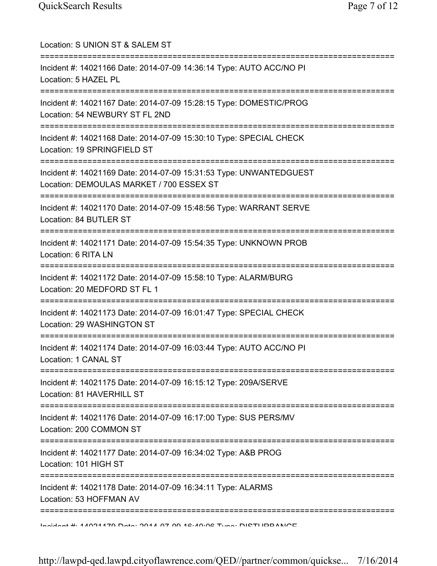| Location: S UNION ST & SALEM ST<br>===========================                                                     |
|--------------------------------------------------------------------------------------------------------------------|
| Incident #: 14021166 Date: 2014-07-09 14:36:14 Type: AUTO ACC/NO PI<br>Location: 5 HAZEL PL                        |
| Incident #: 14021167 Date: 2014-07-09 15:28:15 Type: DOMESTIC/PROG<br>Location: 54 NEWBURY ST FL 2ND               |
| Incident #: 14021168 Date: 2014-07-09 15:30:10 Type: SPECIAL CHECK<br>Location: 19 SPRINGFIELD ST                  |
| Incident #: 14021169 Date: 2014-07-09 15:31:53 Type: UNWANTEDGUEST<br>Location: DEMOULAS MARKET / 700 ESSEX ST     |
| Incident #: 14021170 Date: 2014-07-09 15:48:56 Type: WARRANT SERVE<br>Location: 84 BUTLER ST                       |
| Incident #: 14021171 Date: 2014-07-09 15:54:35 Type: UNKNOWN PROB<br>Location: 6 RITA LN                           |
| ,,,,,,,,,,,,,,,<br>Incident #: 14021172 Date: 2014-07-09 15:58:10 Type: ALARM/BURG<br>Location: 20 MEDFORD ST FL 1 |
| Incident #: 14021173 Date: 2014-07-09 16:01:47 Type: SPECIAL CHECK<br>Location: 29 WASHINGTON ST                   |
| Incident #: 14021174 Date: 2014-07-09 16:03:44 Type: AUTO ACC/NO PI<br>Location: 1 CANAL ST                        |
| Incident #: 14021175 Date: 2014-07-09 16:15:12 Type: 209A/SERVE<br>Location: 81 HAVERHILL ST                       |
| Incident #: 14021176 Date: 2014-07-09 16:17:00 Type: SUS PERS/MV<br>Location: 200 COMMON ST                        |
| Incident #: 14021177 Date: 2014-07-09 16:34:02 Type: A&B PROG<br>Location: 101 HIGH ST                             |
| Incident #: 14021178 Date: 2014-07-09 16:34:11 Type: ALARMS<br>Location: 53 HOFFMAN AV                             |
| Indident # 4 1091470 Data: 9014 07 00 16:10:06 Tune: DICTHDDANIOE                                                  |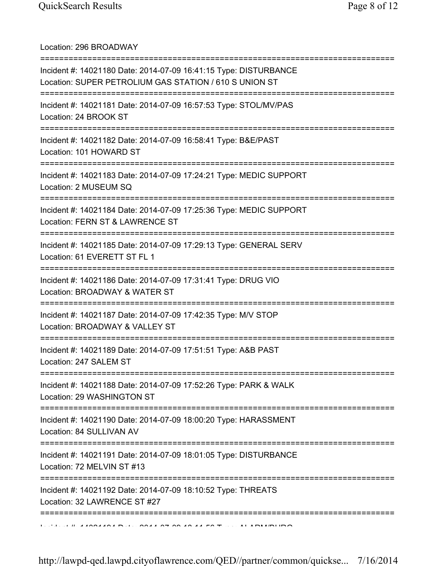Location: 296 BROADWAY

| Incident #: 14021180 Date: 2014-07-09 16:41:15 Type: DISTURBANCE<br>Location: SUPER PETROLIUM GAS STATION / 610 S UNION ST |
|----------------------------------------------------------------------------------------------------------------------------|
| Incident #: 14021181 Date: 2014-07-09 16:57:53 Type: STOL/MV/PAS<br>Location: 24 BROOK ST                                  |
| Incident #: 14021182 Date: 2014-07-09 16:58:41 Type: B&E/PAST<br>Location: 101 HOWARD ST                                   |
| Incident #: 14021183 Date: 2014-07-09 17:24:21 Type: MEDIC SUPPORT<br>Location: 2 MUSEUM SQ                                |
| Incident #: 14021184 Date: 2014-07-09 17:25:36 Type: MEDIC SUPPORT<br>Location: FERN ST & LAWRENCE ST                      |
| Incident #: 14021185 Date: 2014-07-09 17:29:13 Type: GENERAL SERV<br>Location: 61 EVERETT ST FL 1                          |
| Incident #: 14021186 Date: 2014-07-09 17:31:41 Type: DRUG VIO<br>Location: BROADWAY & WATER ST                             |
| Incident #: 14021187 Date: 2014-07-09 17:42:35 Type: M/V STOP<br>Location: BROADWAY & VALLEY ST                            |
| Incident #: 14021189 Date: 2014-07-09 17:51:51 Type: A&B PAST<br>Location: 247 SALEM ST                                    |
| Incident #: 14021188 Date: 2014-07-09 17:52:26 Type: PARK & WALK<br>Location: 29 WASHINGTON ST<br>;======================= |
| Incident #: 14021190 Date: 2014-07-09 18:00:20 Type: HARASSMENT<br>Location: 84 SULLIVAN AV                                |
| Incident #: 14021191 Date: 2014-07-09 18:01:05 Type: DISTURBANCE<br>Location: 72 MELVIN ST #13                             |
| Incident #: 14021192 Date: 2014-07-09 18:10:52 Type: THREATS<br>Location: 32 LAWRENCE ST #27                               |
|                                                                                                                            |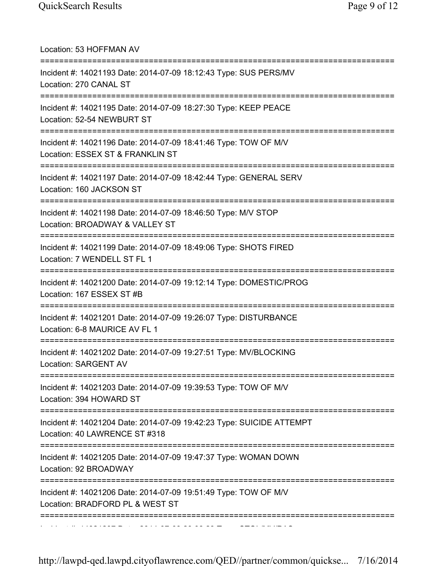| Location: 53 HOFFMAN AV                                                                                                           |
|-----------------------------------------------------------------------------------------------------------------------------------|
| Incident #: 14021193 Date: 2014-07-09 18:12:43 Type: SUS PERS/MV<br>Location: 270 CANAL ST                                        |
| Incident #: 14021195 Date: 2014-07-09 18:27:30 Type: KEEP PEACE<br>Location: 52-54 NEWBURT ST                                     |
| Incident #: 14021196 Date: 2014-07-09 18:41:46 Type: TOW OF M/V<br>Location: ESSEX ST & FRANKLIN ST                               |
| Incident #: 14021197 Date: 2014-07-09 18:42:44 Type: GENERAL SERV<br>Location: 160 JACKSON ST                                     |
| Incident #: 14021198 Date: 2014-07-09 18:46:50 Type: M/V STOP<br>Location: BROADWAY & VALLEY ST<br>========================       |
| Incident #: 14021199 Date: 2014-07-09 18:49:06 Type: SHOTS FIRED<br>Location: 7 WENDELL ST FL 1                                   |
| Incident #: 14021200 Date: 2014-07-09 19:12:14 Type: DOMESTIC/PROG<br>Location: 167 ESSEX ST #B                                   |
| Incident #: 14021201 Date: 2014-07-09 19:26:07 Type: DISTURBANCE<br>Location: 6-8 MAURICE AV FL 1                                 |
| Incident #: 14021202 Date: 2014-07-09 19:27:51 Type: MV/BLOCKING<br>Location: SARGENT AV                                          |
| Incident #: 14021203 Date: 2014-07-09 19:39:53 Type: TOW OF M/V<br>Location: 394 HOWARD ST                                        |
| Incident #: 14021204 Date: 2014-07-09 19:42:23 Type: SUICIDE ATTEMPT<br>Location: 40 LAWRENCE ST #318<br>======================== |
| Incident #: 14021205 Date: 2014-07-09 19:47:37 Type: WOMAN DOWN<br>Location: 92 BROADWAY                                          |
| Incident #: 14021206 Date: 2014-07-09 19:51:49 Type: TOW OF M/V<br>Location: BRADFORD PL & WEST ST                                |
|                                                                                                                                   |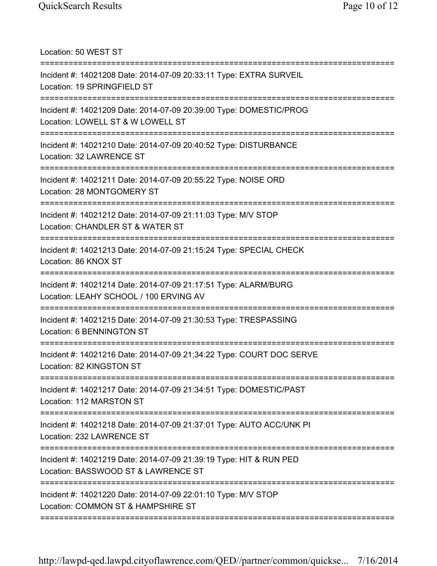Location: 50 WEST ST =========================================================================== Incident #: 14021208 Date: 2014-07-09 20:33:11 Type: EXTRA SURVEIL Location: 19 SPRINGFIELD ST =========================================================================== Incident #: 14021209 Date: 2014-07-09 20:39:00 Type: DOMESTIC/PROG Location: LOWELL ST & W LOWELL ST =========================================================================== Incident #: 14021210 Date: 2014-07-09 20:40:52 Type: DISTURBANCE Location: 32 LAWRENCE ST =========================================================================== Incident #: 14021211 Date: 2014-07-09 20:55:22 Type: NOISE ORD Location: 28 MONTGOMERY ST =========================================================================== Incident #: 14021212 Date: 2014-07-09 21:11:03 Type: M/V STOP Location: CHANDLER ST & WATER ST =========================================================================== Incident #: 14021213 Date: 2014-07-09 21:15:24 Type: SPECIAL CHECK Location: 86 KNOX ST =========================================================================== Incident #: 14021214 Date: 2014-07-09 21:17:51 Type: ALARM/BURG Location: LEAHY SCHOOL / 100 ERVING AV =========================================================================== Incident #: 14021215 Date: 2014-07-09 21:30:53 Type: TRESPASSING Location: 6 BENNINGTON ST =========================================================================== Incident #: 14021216 Date: 2014-07-09 21:34:22 Type: COURT DOC SERVE Location: 82 KINGSTON ST =========================================================================== Incident #: 14021217 Date: 2014-07-09 21:34:51 Type: DOMESTIC/PAST Location: 112 MARSTON ST =========================================================================== Incident #: 14021218 Date: 2014-07-09 21:37:01 Type: AUTO ACC/UNK PI Location: 232 LAWRENCE ST =========================================================================== Incident #: 14021219 Date: 2014-07-09 21:39:19 Type: HIT & RUN PED Location: BASSWOOD ST & LAWRENCE ST =========================================================================== Incident #: 14021220 Date: 2014-07-09 22:01:10 Type: M/V STOP Location: COMMON ST & HAMPSHIRE ST ===========================================================================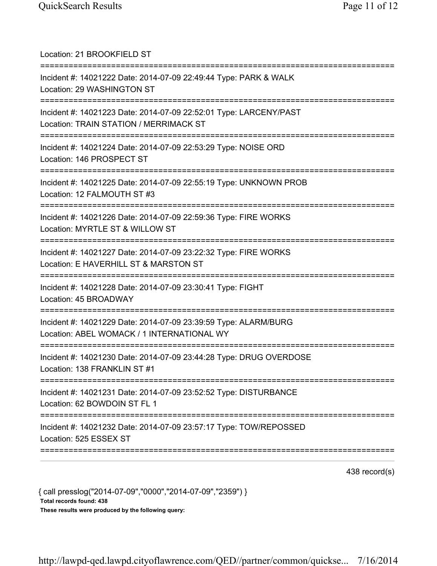| Location: 21 BROOKFIELD ST                                                                                                                   |
|----------------------------------------------------------------------------------------------------------------------------------------------|
| Incident #: 14021222 Date: 2014-07-09 22:49:44 Type: PARK & WALK<br>Location: 29 WASHINGTON ST<br>====================================       |
| Incident #: 14021223 Date: 2014-07-09 22:52:01 Type: LARCENY/PAST<br>Location: TRAIN STATION / MERRIMACK ST                                  |
| Incident #: 14021224 Date: 2014-07-09 22:53:29 Type: NOISE ORD<br>Location: 146 PROSPECT ST                                                  |
| Incident #: 14021225 Date: 2014-07-09 22:55:19 Type: UNKNOWN PROB<br>Location: 12 FALMOUTH ST #3                                             |
| Incident #: 14021226 Date: 2014-07-09 22:59:36 Type: FIRE WORKS<br>Location: MYRTLE ST & WILLOW ST                                           |
| Incident #: 14021227 Date: 2014-07-09 23:22:32 Type: FIRE WORKS<br>Location: E HAVERHILL ST & MARSTON ST<br>;=============================== |
| Incident #: 14021228 Date: 2014-07-09 23:30:41 Type: FIGHT<br>Location: 45 BROADWAY                                                          |
| Incident #: 14021229 Date: 2014-07-09 23:39:59 Type: ALARM/BURG<br>Location: ABEL WOMACK / 1 INTERNATIONAL WY                                |
| Incident #: 14021230 Date: 2014-07-09 23:44:28 Type: DRUG OVERDOSE<br>Location: 138 FRANKLIN ST #1                                           |
| Incident #: 14021231 Date: 2014-07-09 23:52:52 Type: DISTURBANCE<br>Location: 62 BOWDOIN ST FL 1                                             |
| Incident #: 14021232 Date: 2014-07-09 23:57:17 Type: TOW/REPOSSED<br>Location: 525 ESSEX ST                                                  |
|                                                                                                                                              |

438 record(s)

{ call presslog("2014-07-09","0000","2014-07-09","2359") } Total records found: 438 These results were produced by the following query: